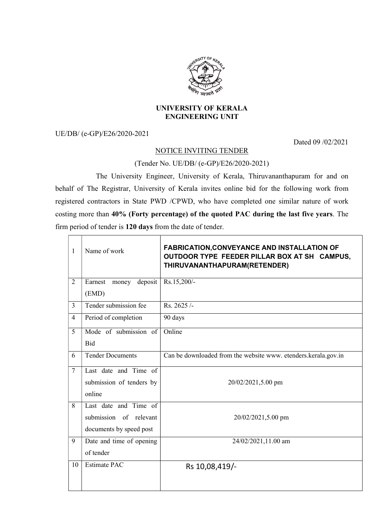

## UNIVERSITY OF KERALA ENGINEERING UNIT

UE/DB/ (e-GP)/E26/2020-2021

Dated 09 /02/2021

## NOTICE INVITING TENDER

(Tender No. UE/DB/ (e-GP)/E26/2020-2021)

 The University Engineer, University of Kerala, Thiruvananthapuram for and on behalf of The Registrar, University of Kerala invites online bid for the following work from registered contractors in State PWD /CPWD, who have completed one similar nature of work costing more than 40% (Forty percentage) of the quoted PAC during the last five years. The firm period of tender is 120 days from the date of tender.

| 1              | Name of work             | <b>FABRICATION, CONVEYANCE AND INSTALLATION OF</b><br>OUTDOOR TYPE FEEDER PILLAR BOX AT SH CAMPUS,<br>THIRUVANANTHAPURAM(RETENDER) |
|----------------|--------------------------|------------------------------------------------------------------------------------------------------------------------------------|
| 2              | Earnest money deposit    | Rs.15,200/-                                                                                                                        |
|                | (EMD)                    |                                                                                                                                    |
| $\mathcal{E}$  | Tender submission fee    | Rs. 2625/-                                                                                                                         |
| $\overline{4}$ | Period of completion     | 90 days                                                                                                                            |
| 5              | Mode of submission of    | Online                                                                                                                             |
|                | Bid                      |                                                                                                                                    |
| 6              | <b>Tender Documents</b>  | Can be downloaded from the website www. etenders.kerala.gov.in                                                                     |
| $\overline{7}$ | Last date and Time of    |                                                                                                                                    |
|                | submission of tenders by | 20/02/2021,5.00 pm                                                                                                                 |
|                | online                   |                                                                                                                                    |
| 8              | Last date and Time of    |                                                                                                                                    |
|                | submission of relevant   | 20/02/2021,5.00 pm                                                                                                                 |
|                | documents by speed post  |                                                                                                                                    |
| 9              | Date and time of opening | 24/02/2021,11.00 am                                                                                                                |
|                | of tender                |                                                                                                                                    |
| 10             | <b>Estimate PAC</b>      | Rs 10,08,419/-                                                                                                                     |
|                |                          |                                                                                                                                    |
|                |                          |                                                                                                                                    |